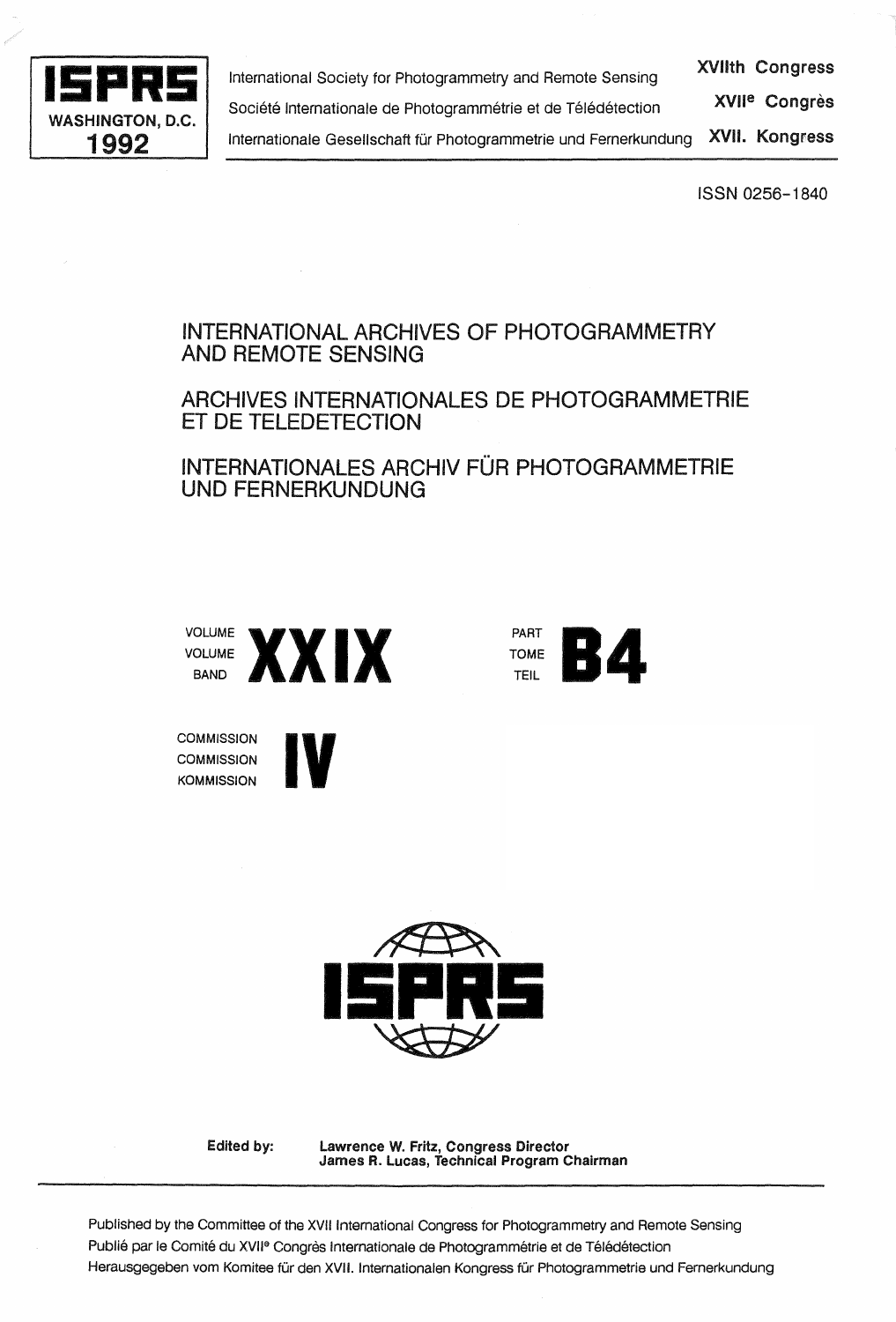

**15PRS 15PRS International Society for Photogrammetry and Remote Sensing XVIIth Congress**<br>
Société Internationale de Photogrammétrie et de Télédétection XVII<sup>e</sup> Congrès XVII<sup>e</sup> Congrès Société Internationale de Photogrammétrie et de Télédétection 1992 | Internationale Gesellschaft für Photogrammetrie und Fernerkundung XVII. Kongress

ISSN 0256-1840

# INTERNATIONAL ARCHIVES OF PHOTOGRAMMETRY AND REMOTE SENSING

# ARCHIVES INTERNATIONALES DE PHOTOGRAMMETRIE ET DE TELEDETECTION

INTERNATIONALES ARCHIV FÜR PHOTOGRAMMETRIE UNO FERNERKUNDUNG



**IV** 



**COMMISSION COMMISSION KOMMISSION** 

> $\overbrace{ }$ **15PR5** ~

Edited by:

lawrence W. Fritz, Congress Director James R. Lucas, Technical Program Chairman

Published by the Committee of the XVII International Congress for Photogrammetry and Remote Sensing Publié par le Comité du XVII<sup>e</sup> Congrès Internationale de Photogrammétrie et de Télédétection Herausgegeben vom Komitee für den XVII. Internationalen Kongress für Photogrammetrie und Fernerkundung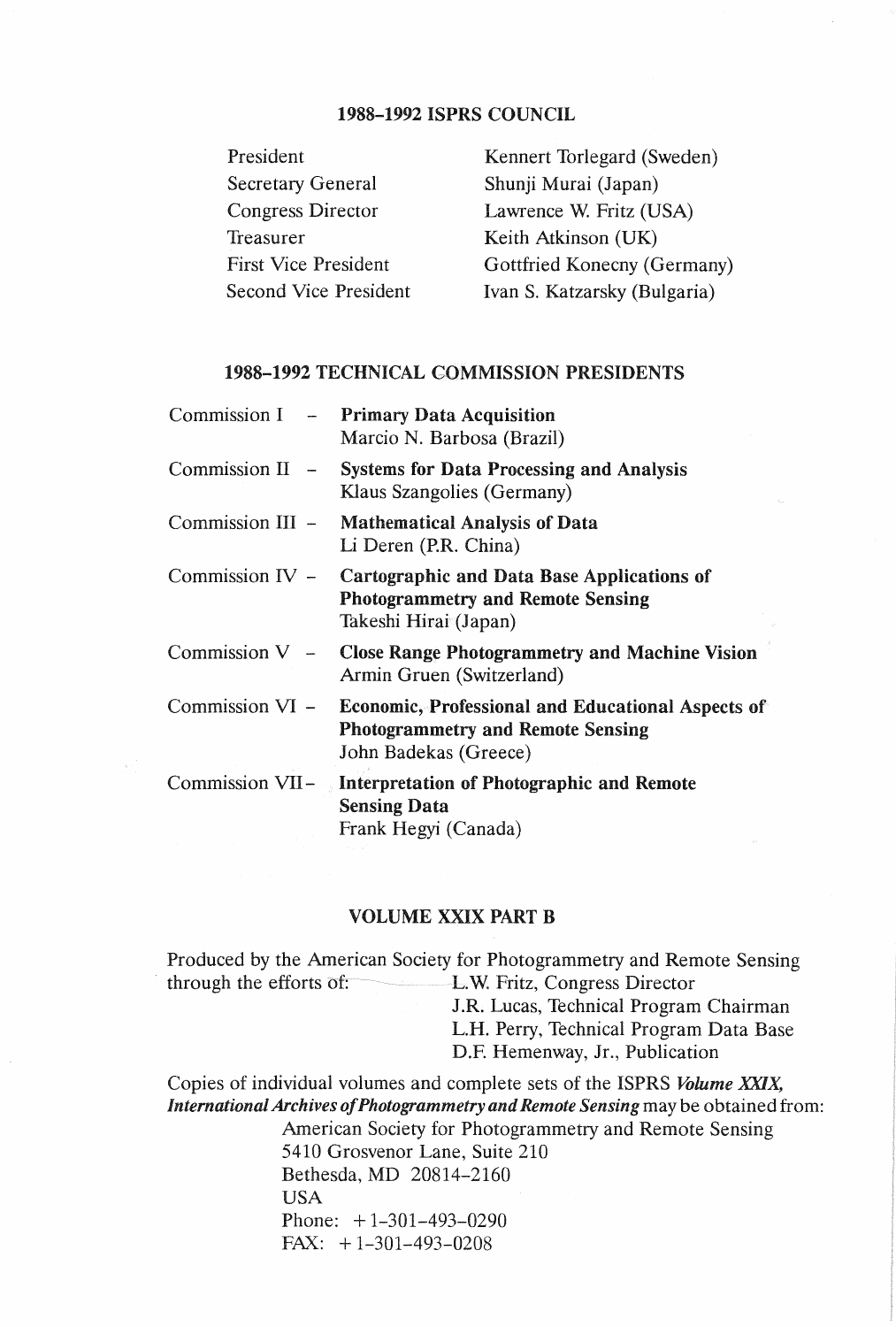## 1988-1992 ISPRS COUNCIL

| President                    |
|------------------------------|
| <b>Secretary General</b>     |
| <b>Congress Director</b>     |
| Treasurer                    |
| <b>First Vice President</b>  |
| <b>Second Vice President</b> |

Kennert Torlegard (Sweden) Shunji Murai (Japan) Lawrence W. Fritz (USA) Keith Atkinson (UK) Gottfried Konecny (Germany) Ivan S. Katzarsky (Bulgaria)

### 1988-1992 TECHNICAL COMMISSION PRESIDENTS

|                   | Commission I - Primary Data Acquisition<br>Marcio N. Barbosa (Brazil)                                                                  |
|-------------------|----------------------------------------------------------------------------------------------------------------------------------------|
| Commission $II$ – | <b>Systems for Data Processing and Analysis</b><br>Klaus Szangolies (Germany)                                                          |
|                   | Commission III - Mathematical Analysis of Data<br>Li Deren (P.R. China)                                                                |
|                   | Commission IV - Cartographic and Data Base Applications of<br><b>Photogrammetry and Remote Sensing</b><br>Takeshi Hirai (Japan)        |
|                   | Commission $V -$ Close Range Photogrammetry and Machine Vision<br>Armin Gruen (Switzerland)                                            |
|                   | Commission VI - Economic, Professional and Educational Aspects of<br><b>Photogrammetry and Remote Sensing</b><br>John Badekas (Greece) |
|                   | Commission VII – Interpretation of Photographic and Remote<br><b>Sensing Data</b><br>Frank Hegyi (Canada)                              |

#### VOLUME XXIX PART B

Produced by the American Society for Photogrammetry and Remote Sensing · through the efforts of: L.W. Fritz, Congress Director

J.R. Lucas, Technical Program Chairman

L.H. Perry, Technical Program Data Base

D.F. Hemenway, Jr., Publication

Copies of individual volumes and complete sets of the ISPRS *Volume XXIX, International Archives of Photogrammetry and Remote Sensing may be obtained from:* American Society for Photogrammetry and Remote Sensing

> 5410 Grosvenor Lane, Suite 210 Bethesda, MD 20814-2160 USA Phone: +1-301-493-0290 FAX:  $+1-301-493-0208$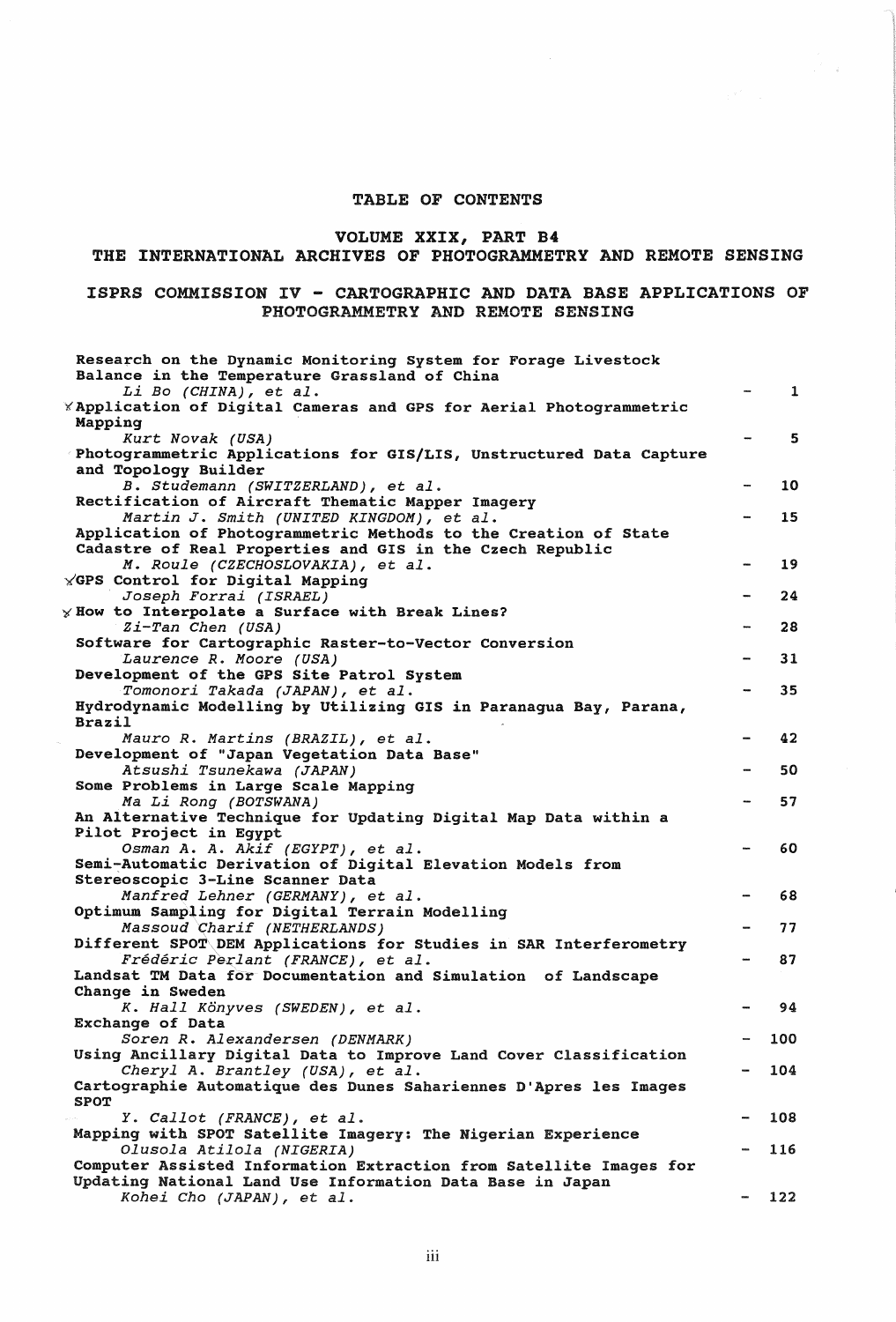#### TABLE OF CONTENTS

### VOLUME XXIX, PART B4

# THE INTERNATIONAL ARCHIVES OF PHOTOGRAMMETRY AND REMOTE SENSING

#### ISPRS COMMISSION IV - CARTOGRAPHIC AND DATA BASE APPLICATIONS OF PHOTOGRAMMETRY AND REMOTE SENSING

| Research on the Dynamic Monitoring System for Forage Livestock<br>Balance in the Temperature Grassland of China |             |
|-----------------------------------------------------------------------------------------------------------------|-------------|
| Li Bo (CHINA), et al.<br><b>XApplication of Digital Cameras and GPS for Aerial Photogrammetric</b>              | $\mathbf 1$ |
| Mapping<br>Kurt Novak (USA)                                                                                     | 5           |
| Photogrammetric Applications for GIS/LIS, Unstructured Data Capture<br>and Topology Builder                     |             |
| B. Studemann (SWITZERLAND), et al.                                                                              | 10          |
| Rectification of Aircraft Thematic Mapper Imagery                                                               |             |
| Martin J. Smith (UNITED KINGDOM), et al.<br>Application of Photogrammetric Methods to the Creation of State     | 15          |
| Cadastre of Real Properties and GIS in the Czech Republic                                                       |             |
| M. Roule (CZECHOSLOVAKIA), et al.                                                                               | 19          |
| <b>YGPS Control for Digital Mapping</b>                                                                         |             |
| Joseph Forrai (ISRAEL)                                                                                          | 24          |
| $\times$ How to Interpolate a Surface with Break Lines?                                                         |             |
| Zi-Tan Chen (USA)                                                                                               | 28          |
| Software for Cartographic Raster-to-Vector Conversion                                                           |             |
| Laurence R. Moore (USA)                                                                                         | 31          |
| Development of the GPS Site Patrol System                                                                       | 35          |
| Tomonori Takada (JAPAN), et al.<br>Hydrodynamic Modelling by Utilizing GIS in Paranagua Bay, Parana,            |             |
| Brazil                                                                                                          |             |
| Mauro R. Martins (BRAZIL), et al.                                                                               | 42          |
| Development of "Japan Vegetation Data Base"                                                                     |             |
| Atsushi Tsunekawa (JAPAN)                                                                                       | 50          |
| Some Problems in Large Scale Mapping                                                                            |             |
| Ma Li Rong (BOTSWANA)                                                                                           | 57          |
| An Alternative Technique for Updating Digital Map Data within a                                                 |             |
| Pilot Project in Egypt                                                                                          |             |
| Osman A. A. Akif (EGYPT), et al.                                                                                | 60          |
| Semi-Automatic Derivation of Digital Elevation Models from<br>Stereoscopic 3-Line Scanner Data                  |             |
| Manfred Lehner (GERMANY), et al.                                                                                | 68          |
| Optimum Sampling for Digital Terrain Modelling                                                                  |             |
| Massoud Charif (NETHERLANDS)                                                                                    | 77          |
| Different SPOT\DEM Applications for Studies in SAR Interferometry                                               |             |
| Frédéric Perlant (FRANCE), et al.                                                                               | 87          |
| Landsat TM Data for Documentation and Simulation of Landscape                                                   |             |
| Change in Sweden                                                                                                |             |
| K. Hall Könyves (SWEDEN), et al.                                                                                | 94          |
| Exchange of Data                                                                                                |             |
| Soren R. Alexandersen (DENMARK)                                                                                 | 100         |
| Using Ancillary Digital Data to Improve Land Cover Classification<br>Cheryl A. Brantley (USA), et al.           | 104         |
| Cartographie Automatique des Dunes Sahariennes D'Apres les Images                                               |             |
| <b>SPOT</b>                                                                                                     |             |
| Y. Callot (FRANCE), et al.                                                                                      | 108         |
| Mapping with SPOT Satellite Imagery: The Nigerian Experience                                                    |             |
| Olusola Atilola (NIGERIA)                                                                                       | 116         |
| Computer Assisted Information Extraction from Satellite Images for                                              |             |
| Updating National Land Use Information Data Base in Japan                                                       |             |
| Kohei Cho (JAPAN), et al.                                                                                       | 122         |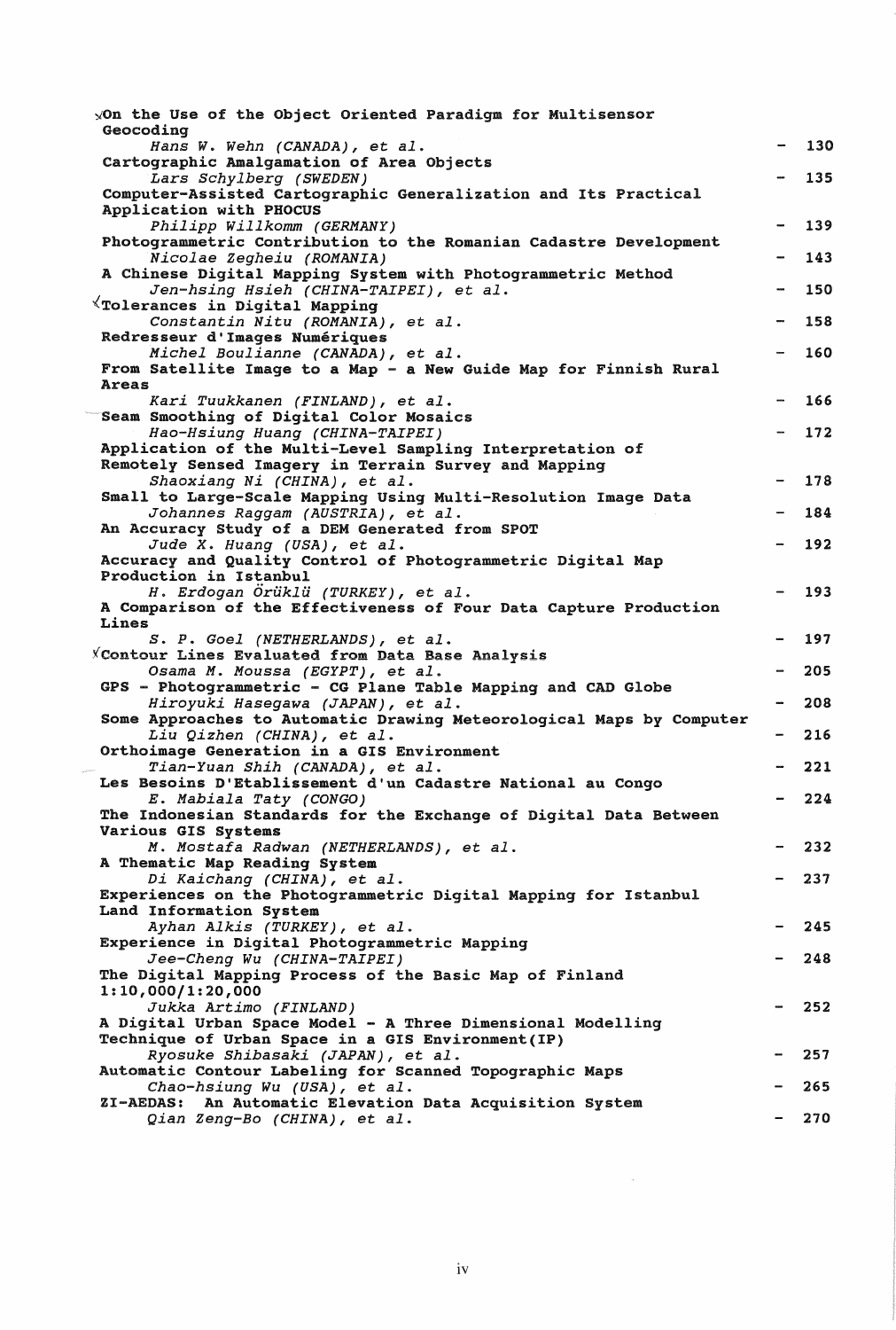| $\angle$ On the Use of the Object Oriented Paradigm for Multisensor<br>Geocoding                        |     |
|---------------------------------------------------------------------------------------------------------|-----|
| Hans W. Wehn (CANADA), et al.                                                                           | 130 |
| Cartographic Amalgamation of Area Objects<br>Lars Schylberg (SWEDEN)                                    | 135 |
| Computer-Assisted Cartographic Generalization and Its Practical                                         |     |
| Application with PHOCUS                                                                                 |     |
| Philipp Willkomm (GERMANY)<br>Photogrammetric Contribution to the Romanian Cadastre Development         | 139 |
| Nicolae Zegheiu (ROMANIA)                                                                               | 143 |
| A Chinese Digital Mapping System with Photogrammetric Method                                            |     |
| Jen-hsing Hsieh (CHINA-TAIPEI), et al.<br>$\forall$ Tolerances in Digital Mapping                       | 150 |
| Constantin Nitu (ROMANIA), et al.                                                                       | 158 |
| Redresseur d'Images Numériques                                                                          |     |
| Michel Boulianne (CANADA), et al.                                                                       | 160 |
| From Satellite Image to a Map - a New Guide Map for Finnish Rural<br>Areas                              |     |
| Kari Tuukkanen (FINLAND), et al.                                                                        | 166 |
| Seam Smoothing of Digital Color Mosaics                                                                 |     |
| Hao-Hsiung Huang (CHINA-TAIPEI)<br>Application of the Multi-Level Sampling Interpretation of            | 172 |
| Remotely Sensed Imagery in Terrain Survey and Mapping                                                   |     |
| Shaoxiang Ni (CHINA), et al.                                                                            | 178 |
| Small to Large-Scale Mapping Using Multi-Resolution Image Data                                          |     |
| Johannes Raggam (AUSTRIA), et al.                                                                       | 184 |
| An Accuracy Study of a DEM Generated from SPOT<br>Jude X. Huang (USA), et al.                           | 192 |
| Accuracy and Quality Control of Photogrammetric Digital Map                                             |     |
| Production in Istanbul                                                                                  |     |
| H. Erdogan Örüklü (TURKEY), et al.<br>A Comparison of the Effectiveness of Four Data Capture Production | 193 |
| Lines                                                                                                   |     |
| S. P. Goel (NETHERLANDS), et al.                                                                        | 197 |
| X Contour Lines Evaluated from Data Base Analysis                                                       | 205 |
| Osama M. Moussa (EGYPT), et al.<br>GPS - Photogrammetric - CG Plane Table Mapping and CAD Globe         |     |
| Hiroyuki Hasegawa (JAPAN), et al.                                                                       | 208 |
| Some Approaches to Automatic Drawing Meteorological Maps by Computer                                    |     |
| Liu Qizhen (CHINA), et al.<br>Orthoimage Generation in a GIS Environment                                | 216 |
| Tian-Yuan Shih (CANADA), et al.                                                                         | 221 |
| Les Besoins D'Etablissement d'un Cadastre National au Congo                                             |     |
| E. Mabiala Taty (CONGO)                                                                                 | 224 |
| The Indonesian Standards for the Exchange of Digital Data Between<br>Various GIS Systems                |     |
| M. Mostafa Radwan (NETHERLANDS), et al.                                                                 | 232 |
| A Thematic Map Reading System                                                                           |     |
| Di Kaichang (CHINA), et al.                                                                             | 237 |
| Experiences on the Photogrammetric Digital Mapping for Istanbul<br>Land Information System              |     |
| Ayhan Alkis (TURKEY), et al.                                                                            | 245 |
| Experience in Digital Photogrammetric Mapping                                                           |     |
| Jee-Cheng Wu (CHINA-TAIPEI)                                                                             | 248 |
| The Digital Mapping Process of the Basic Map of Finland<br>1:10,000/1:20,000                            |     |
| Jukka Artimo (FINLAND)                                                                                  | 252 |
| A Digital Urban Space Model - A Three Dimensional Modelling                                             |     |
| Technique of Urban Space in a GIS Environment (IP)<br>Ryosuke Shibasaki (JAPAN), et al.                 | 257 |
| Automatic Contour Labeling for Scanned Topographic Maps                                                 |     |
| Chao-hsiung Wu (USA), et al.                                                                            | 265 |
| <b>ZI-AEDAS:</b><br>An Automatic Elevation Data Acquisition System                                      |     |
| Qian Zeng-Bo (CHINA), et al.                                                                            | 270 |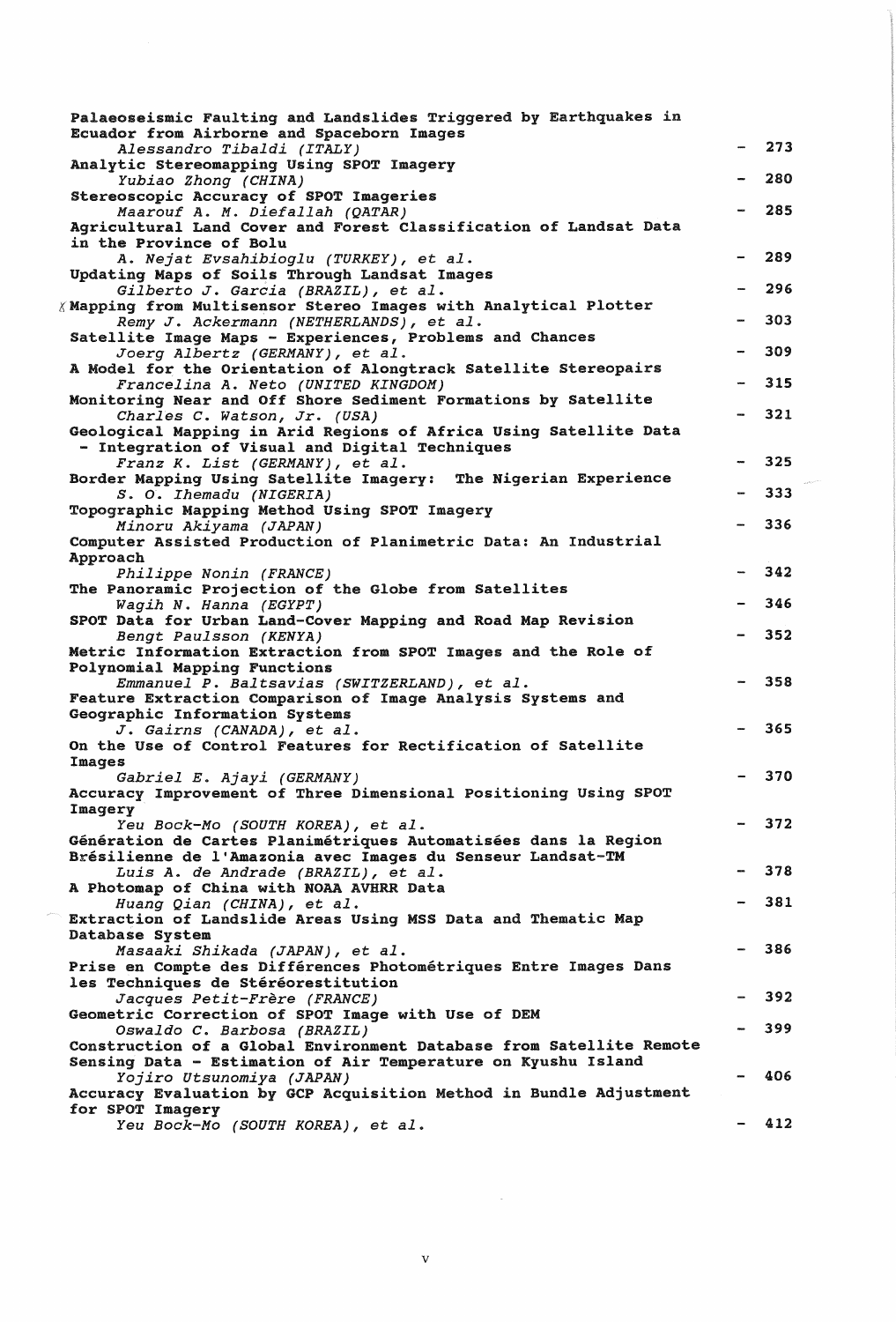| Palaeoseismic Faulting and Landslides Triggered by Earthquakes in                                                |     |
|------------------------------------------------------------------------------------------------------------------|-----|
| Ecuador from Airborne and Spaceborn Images<br>Alessandro Tibaldi (ITALY)                                         | 273 |
| Analytic Stereomapping Using SPOT Imagery<br>Yubiao Zhong (CHINA)                                                | 280 |
| Stereoscopic Accuracy of SPOT Imageries<br>Maarouf A. M. Diefallah (QATAR)                                       | 285 |
| Agricultural Land Cover and Forest Classification of Landsat Data<br>in the Province of Bolu                     |     |
| A. Nejat Evsahibioglu (TURKEY), et al.                                                                           | 289 |
| Updating Maps of Soils Through Landsat Images<br>Gilberto J. Garcia (BRAZIL), et al.                             | 296 |
| $\chi$ Mapping from Multisensor Stereo Images with Analytical Plotter<br>Remy J. Ackermann (NETHERLANDS), et al. | 303 |
| Satellite Image Maps - Experiences, Problems and Chances                                                         |     |
| Joerg Albertz (GERMANY), et al.<br>A Model for the Orientation of Alongtrack Satellite Stereopairs               | 309 |
| Francelina A. Neto (UNITED KINGDOM)                                                                              | 315 |
| Monitoring Near and Off Shore Sediment Formations by Satellite<br>Charles C. Watson, Jr. (USA)                   | 321 |
| Geological Mapping in Arid Regions of Africa Using Satellite Data                                                |     |
| - Integration of Visual and Digital Techniques                                                                   | 325 |
| Franz K. List (GERMANY), et al.<br>Border Mapping Using Satellite Imagery: The Nigerian Experience               |     |
| S. O. Ihemadu (NIGERIA)                                                                                          | 333 |
| Topographic Mapping Method Using SPOT Imagery<br>Minoru Akiyama (JAPAN)                                          | 336 |
| Computer Assisted Production of Planimetric Data: An Industrial                                                  |     |
| Approach<br>Philippe Nonin (FRANCE)                                                                              | 342 |
| The Panoramic Projection of the Globe from Satellites                                                            |     |
| Wagih N. Hanna (EGYPT)                                                                                           | 346 |
| SPOT Data for Urban Land-Cover Mapping and Road Map Revision<br>Bengt Paulsson (KENYA)                           | 352 |
| Metric Information Extraction from SPOT Images and the Role of<br>Polynomial Mapping Functions                   |     |
| Emmanuel P. Baltsavias (SWITZERLAND), et al.                                                                     | 358 |
| Feature Extraction Comparison of Image Analysis Systems and<br>Geographic Information Systems                    |     |
| J. Gairns (CANADA), et al.                                                                                       | 365 |
| On the Use of Control Features for Rectification of Satellite                                                    |     |
| Images<br>Gabriel E. Ajayi (GERMANY)                                                                             | 370 |
| Accuracy Improvement of Three Dimensional Positioning Using SPOT                                                 |     |
| Imagery<br>Yeu Bock-Mo (SOUTH KOREA), et al.                                                                     | 372 |
| Génération de Cartes Planimétriques Automatisées dans la Region                                                  |     |
| Brésilienne de l'Amazonia avec Images du Senseur Landsat-TM<br>Luis A. de Andrade (BRAZIL), et al.               | 378 |
| A Photomap of China with NOAA AVHRR Data                                                                         |     |
| Huang Qian (CHINA), et al.<br>Extraction of Landslide Areas Using MSS Data and Thematic Map                      | 381 |
| Database System                                                                                                  |     |
| Masaaki Shikada (JAPAN), et al.                                                                                  | 386 |
| Prise en Compte des Différences Photométriques Entre Images Dans<br>les Techniques de Stéréorestitution          |     |
| Jacques Petit-Frère (FRANCE)                                                                                     | 392 |
| Geometric Correction of SPOT Image with Use of DEM<br>Oswaldo C. Barbosa (BRAZIL)                                | 399 |
| Construction of a Global Environment Database from Satellite Remote                                              |     |
| Sensing Data - Estimation of Air Temperature on Kyushu Island                                                    | 406 |
| Yojiro Utsunomiya (JAPAN)<br>Accuracy Evaluation by GCP Acquisition Method in Bundle Adjustment                  |     |
| for SPOT Imagery                                                                                                 |     |
| Yeu Bock-Mo (SOUTH KOREA), et al.                                                                                | 412 |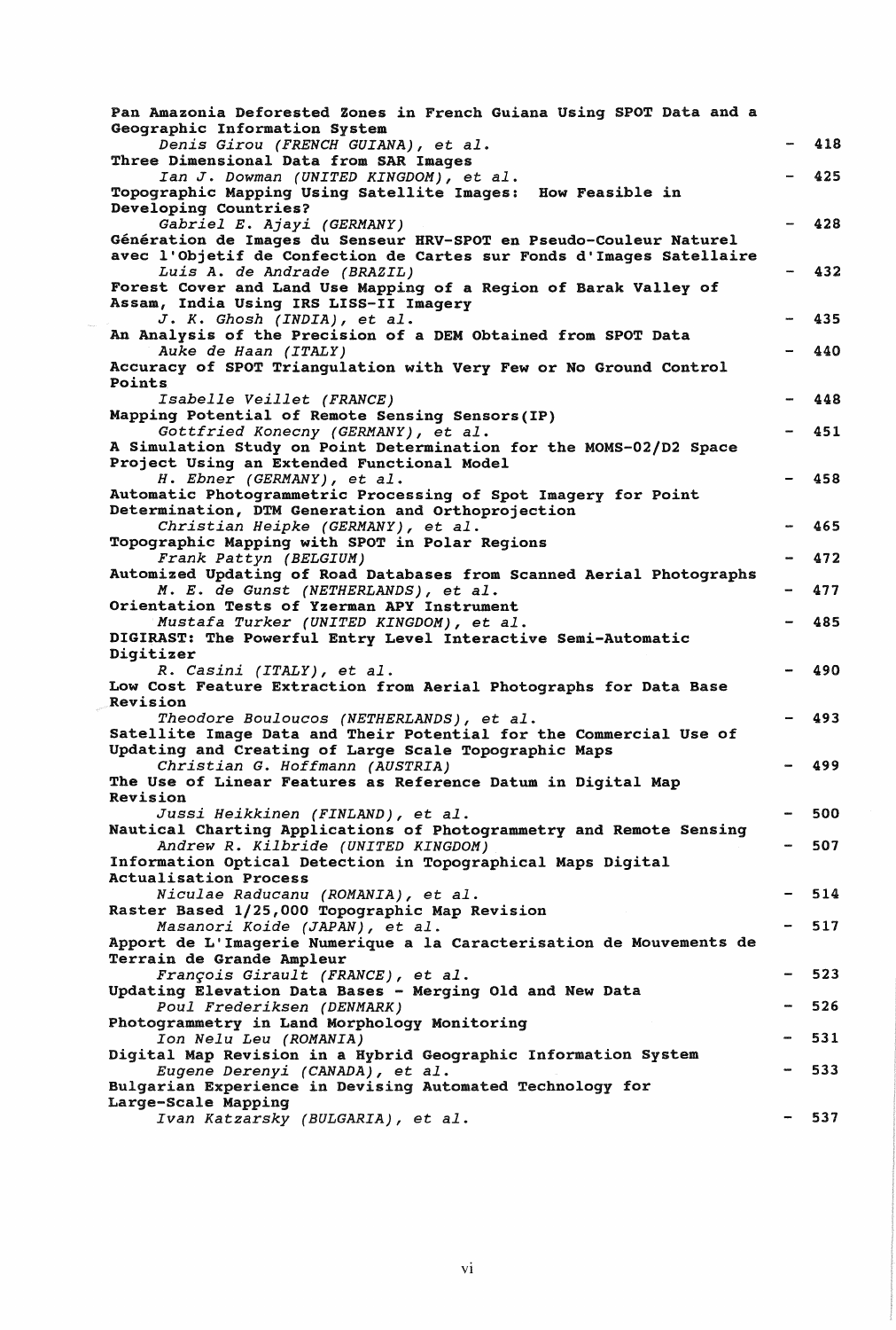| Pan Amazonia Deforested Zones in French Guiana Using SPOT Data and a<br>Geographic Information System                                                                    |     |
|--------------------------------------------------------------------------------------------------------------------------------------------------------------------------|-----|
| Denis Girou (FRENCH GUIANA), et al.<br>Three Dimensional Data from SAR Images                                                                                            | 418 |
| Ian J. Dowman (UNITED KINGDOM), et al.<br>Topographic Mapping Using Satellite Images: How Feasible in<br>Developing Countries?                                           | 425 |
| Gabriel E. Ajayi (GERMANY)<br>Génération de Images du Senseur HRV-SPOT en Pseudo-Couleur Naturel<br>avec l'Objetif de Confection de Cartes sur Fonds d'Images Satellaire | 428 |
| Luis A. de Andrade (BRAZIL)<br>Forest Cover and Land Use Mapping of a Region of Barak Valley of                                                                          | 432 |
| Assam, India Using IRS LISS-II Imagery<br>J. K. Ghosh (INDIA), et al.                                                                                                    | 435 |
| An Analysis of the Precision of a DEM Obtained from SPOT Data<br>Auke de Haan (ITALY)                                                                                    | 440 |
| Accuracy of SPOT Triangulation with Very Few or No Ground Control<br>Points                                                                                              |     |
| Isabelle Veillet (FRANCE)<br>Mapping Potential of Remote Sensing Sensors(IP)                                                                                             | 448 |
| Gottfried Konecny (GERMANY), et al.                                                                                                                                      | 451 |
| A Simulation Study on Point Determination for the MOMS-02/D2 Space<br>Project Using an Extended Functional Model                                                         |     |
| H. Ebner (GERMANY), et al.<br>Automatic Photogrammetric Processing of Spot Imagery for Point                                                                             | 458 |
| Determination, DTM Generation and Orthoprojection<br>Christian Heipke (GERMANY), et al.                                                                                  | 465 |
| Topographic Mapping with SPOT in Polar Regions<br>Frank Pattyn (BELGIUM)                                                                                                 | 472 |
| Automized Updating of Road Databases from Scanned Aerial Photographs<br>M. E. de Gunst (NETHERLANDS), et al.                                                             | 477 |
| Orientation Tests of Yzerman APY Instrument<br>Mustafa Turker (UNITED KINGDOM), et al.                                                                                   | 485 |
| DIGIRAST: The Powerful Entry Level Interactive Semi-Automatic<br>Digitizer                                                                                               |     |
| R. Casini (ITALY), et al.<br>Low Cost Feature Extraction from Aerial Photographs for Data Base                                                                           | 490 |
| <b>Revision</b><br>Theodore Bouloucos (NETHERLANDS), et al.                                                                                                              | 493 |
| Satellite Image Data and Their Potential for the Commercial Use of<br>Updating and Creating of Large Scale Topographic Maps                                              |     |
| Christian G. Hoffmann (AUSTRIA)<br>The Use of Linear Features as Reference Datum in Digital Map                                                                          | 499 |
| Revision<br>Jussi Heikkinen (FINLAND), et al.                                                                                                                            | 500 |
| Nautical Charting Applications of Photogrammetry and Remote Sensing<br>Andrew R. Kilbride (UNITED KINGDOM)                                                               | 507 |
| Information Optical Detection in Topographical Maps Digital<br><b>Actualisation Process</b>                                                                              |     |
| Niculae Raducanu (ROMANIA), et al.<br>Raster Based 1/25,000 Topographic Map Revision                                                                                     | 514 |
| Masanori Koide (JAPAN), et al.                                                                                                                                           | 517 |
| Apport de L'Imagerie Numerique a la Caracterisation de Mouvements de<br>Terrain de Grande Ampleur                                                                        |     |
| François Girault (FRANCE), et al.<br>Updating Elevation Data Bases - Merging Old and New Data                                                                            | 523 |
| Poul Frederiksen (DENMARK)<br>Photogrammetry in Land Morphology Monitoring                                                                                               | 526 |
| Ion Nelu Leu (ROMANIA)<br>Digital Map Revision in a Hybrid Geographic Information System                                                                                 | 531 |
| Eugene Derenyi (CANADA), et al.<br>Bulgarian Experience in Devising Automated Technology for                                                                             | 533 |
| Large-Scale Mapping<br>Ivan Katzarsky (BULGARIA), et al.                                                                                                                 | 537 |
|                                                                                                                                                                          |     |

 $\label{eq:1} \frac{1}{2} \sum_{i=1}^n \frac{1}{2} \sum_{j=1}^n \frac{1}{2} \sum_{j=1}^n \frac{1}{2} \sum_{j=1}^n \frac{1}{2} \sum_{j=1}^n \frac{1}{2} \sum_{j=1}^n \frac{1}{2} \sum_{j=1}^n \frac{1}{2} \sum_{j=1}^n \frac{1}{2} \sum_{j=1}^n \frac{1}{2} \sum_{j=1}^n \frac{1}{2} \sum_{j=1}^n \frac{1}{2} \sum_{j=1}^n \frac{1}{2} \sum_{j=1}^n \frac{1}{$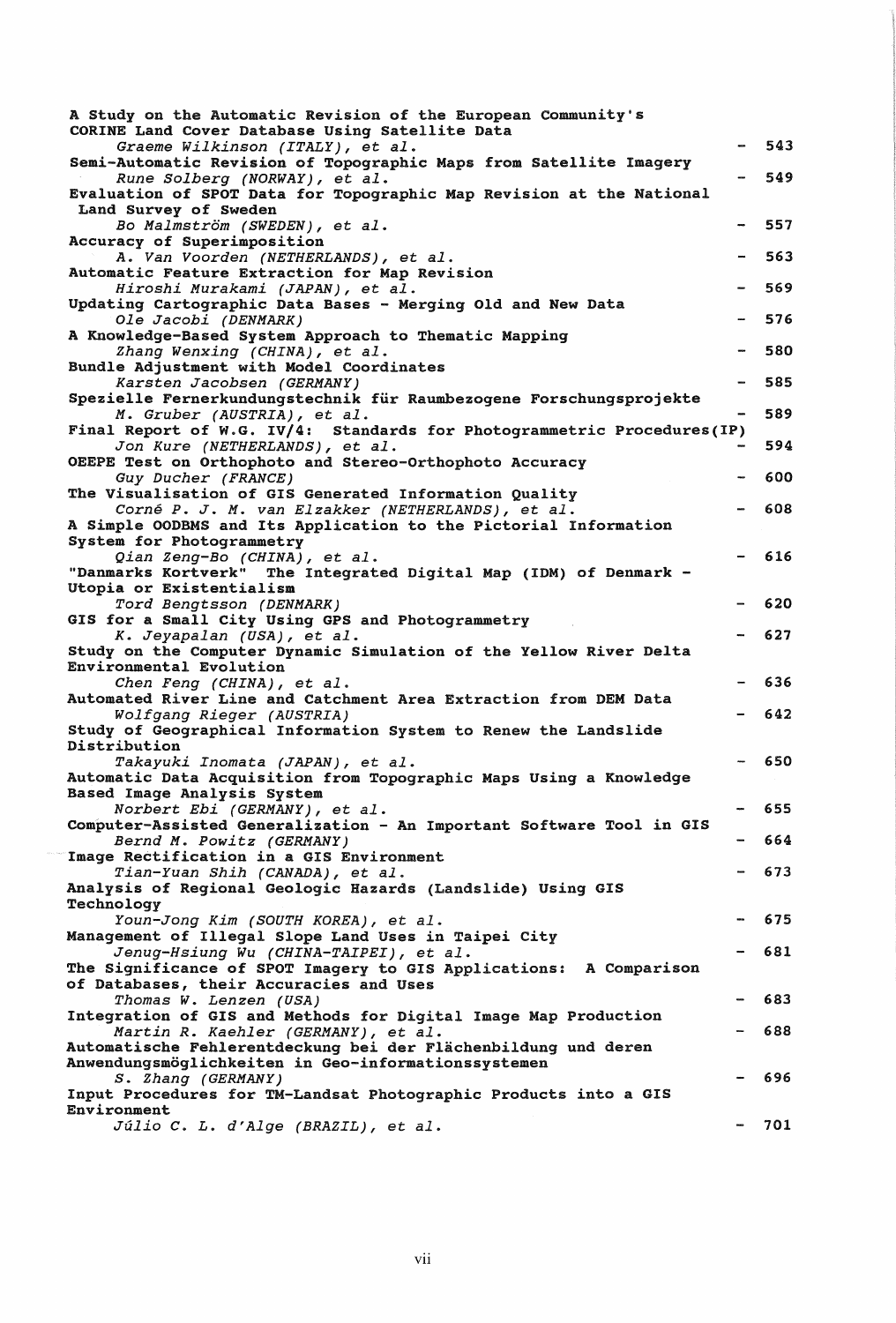| A Study on the Automatic Revision of the European Community's<br>CORINE Land Cover Database Using Satellite Data |     |
|------------------------------------------------------------------------------------------------------------------|-----|
| Graeme Wilkinson (ITALY), et al.                                                                                 | 543 |
| Semi-Automatic Revision of Topographic Maps from Satellite Imagery                                               | 549 |
| Rune Solberg (NORWAY), et al.<br>Evaluation of SPOT Data for Topographic Map Revision at the National            |     |
| Land Survey of Sweden                                                                                            |     |
| Bo Malmström (SWEDEN), et al.                                                                                    | 557 |
| Accuracy of Superimposition<br>A. Van Voorden (NETHERLANDS), et al.                                              | 563 |
| Automatic Feature Extraction for Map Revision                                                                    |     |
| Hiroshi Murakami (JAPAN), et al.                                                                                 | 569 |
| Updating Cartographic Data Bases - Merging Old and New Data<br>Ole Jacobi (DENMARK)                              | 576 |
| A Knowledge-Based System Approach to Thematic Mapping                                                            |     |
| Zhang Wenxing (CHINA), et al.                                                                                    | 580 |
| Bundle Adjustment with Model Coordinates                                                                         |     |
| Karsten Jacobsen (GERMANY)<br>Spezielle Fernerkundungstechnik für Raumbezogene Forschungsprojekte                | 585 |
| M. Gruber (AUSTRIA), et al.                                                                                      | 589 |
| Final Report of W.G. IV/4: Standards for Photogrammetric Procedures(IP)                                          |     |
| Jon Kure (NETHERLANDS), et al.                                                                                   | 594 |
| OEEPE Test on Orthophoto and Stereo-Orthophoto Accuracy                                                          | 600 |
| Guy Ducher (FRANCE)<br>The Visualisation of GIS Generated Information Quality                                    |     |
| Corné P. J. M. van Elzakker (NETHERLANDS), et al.                                                                | 608 |
| A Simple OODBMS and Its Application to the Pictorial Information                                                 |     |
| System for Photogrammetry                                                                                        | 616 |
| Qian Zeng-Bo (CHINA), et al.<br>"Danmarks Kortverk" The Integrated Digital Map (IDM) of Denmark -                |     |
| Utopia or Existentialism                                                                                         |     |
| Tord Bengtsson (DENMARK)                                                                                         | 620 |
| GIS for a Small City Using GPS and Photogrammetry<br>K. Jeyapalan (USA), et al.                                  | 627 |
| Study on the Computer Dynamic Simulation of the Yellow River Delta                                               |     |
| Environmental Evolution                                                                                          |     |
| Chen Feng (CHINA), et al.                                                                                        | 636 |
| Automated River Line and Catchment Area Extraction from DEM Data                                                 | 642 |
| <i>Wolfgang Rieger (AUSTRIA)</i><br>Study of Geographical Information System to Renew the Landslide              |     |
| Distribution                                                                                                     |     |
| Takayuki Inomata (JAPAN), et al.                                                                                 | 650 |
| Automatic Data Acquisition from Topographic Maps Using a Knowledge<br>Based Image Analysis System                |     |
| Norbert Ebi (GERMANY), et al.                                                                                    | 655 |
| Computer-Assisted Generalization - An Important Software Tool in GIS                                             |     |
| Bernd M. Powitz (GERMANY)                                                                                        | 664 |
| Image Rectification in a GIS Environment<br>Tian-Yuan Shih (CANADA), et al.                                      | 673 |
| Analysis of Regional Geologic Hazards (Landslide) Using GIS                                                      |     |
| Technology                                                                                                       |     |
| Youn-Jong Kim (SOUTH KOREA), et al.                                                                              | 675 |
| Management of Illegal Slope Land Uses in Taipei City                                                             | 681 |
| Jenug-Hsiung Wu (CHINA-TAIPEI), et al.<br>The Significance of SPOT Imagery to GIS Applications: A Comparison     |     |
| of Databases, their Accuracies and Uses                                                                          |     |
| Thomas W. Lenzen (USA)                                                                                           | 683 |
| Integration of GIS and Methods for Digital Image Map Production                                                  |     |
| Martin R. Kaehler (GERMANY), et al.<br>Automatische Fehlerentdeckung bei der Flächenbildung und deren            | 688 |
| Anwendungsmöglichkeiten in Geo-informationssystemen                                                              |     |
| S. Zhang (GERMANY)                                                                                               | 696 |
| Input Procedures for TM-Landsat Photographic Products into a GIS<br>Environment                                  |     |
| Júlio C. L. d'Alge (BRAZIL), et al.                                                                              | 701 |
|                                                                                                                  |     |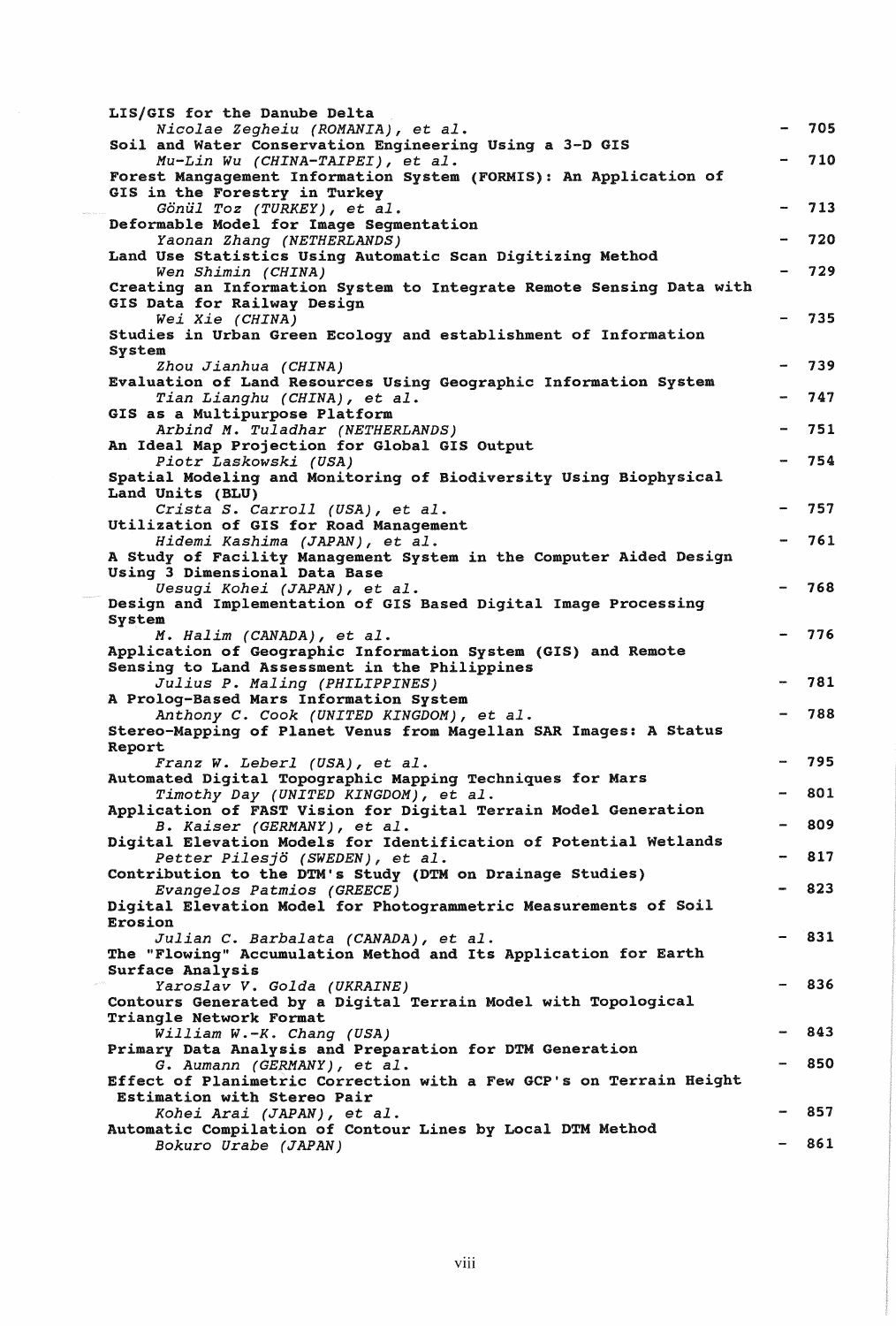| LIS/GIS for the Danube Delta                                                                            |     |
|---------------------------------------------------------------------------------------------------------|-----|
| Nicolae Zegheiu (ROMANIA), et al.                                                                       | 705 |
| Soil and Water Conservation Engineering Using a 3-D GIS<br>Mu-Lin Wu (CHINA-TAIPEI), et al.             | 710 |
| Forest Mangagement Information System (FORMIS): An Application of<br>GIS in the Forestry in Turkey      |     |
| Gönül Toz (TURKEY), et al.<br>Deformable Model for Image Segmentation                                   | 713 |
| Yaonan Zhang (NETHERLANDS)<br>Land Use Statistics Using Automatic Scan Digitizing Method                | 720 |
| Wen Shimin (CHINA)<br>Creating an Information System to Integrate Remote Sensing Data with              | 729 |
| GIS Data for Railway Design<br>Wei Xie (CHINA)                                                          | 735 |
| Studies in Urban Green Ecology and establishment of Information<br>System                               |     |
| Zhou Jianhua (CHINA)                                                                                    | 739 |
| Evaluation of Land Resources Using Geographic Information System<br>Tian Lianghu (CHINA), et al.        | 747 |
| GIS as a Multipurpose Platform<br>Arbind M. Tuladhar (NETHERLANDS)                                      | 751 |
| An Ideal Map Projection for Global GIS Output                                                           |     |
| Piotr Laskowski (USA)                                                                                   | 754 |
| Spatial Modeling and Monitoring of Biodiversity Using Biophysical                                       |     |
| Land Units (BLU)<br>Crista S. Carroll (USA), et al.                                                     | 757 |
| Utilization of GIS for Road Management                                                                  |     |
| Hidemi Kashima (JAPAN), et al.                                                                          | 761 |
| A Study of Facility Management System in the Computer Aided Design<br>Using 3 Dimensional Data Base     |     |
| Uesugi Kohei (JAPAN), et al.                                                                            | 768 |
| Design and Implementation of GIS Based Digital Image Processing                                         |     |
| System<br>M. Halim (CANADA), et al.                                                                     | 776 |
| Application of Geographic Information System (GIS) and Remote                                           |     |
| Sensing to Land Assessment in the Philippines                                                           |     |
| Julius P. Maling (PHILIPPINES)<br>A Prolog-Based Mars Information System                                | 781 |
| Anthony C. Cook (UNITED KINGDOM), et al.                                                                | 788 |
| Stereo-Mapping of Planet Venus from Magellan SAR Images: A Status                                       |     |
| Report<br>Franz W. Leberl (USA), et al.                                                                 | 795 |
| Automated Digital Topographic Mapping Techniques for Mars                                               |     |
| Timothy Day (UNITED KINGDOM), et al.                                                                    | 801 |
| Application of FAST Vision for Digital Terrain Model Generation<br>B. Kaiser (GERMANY), et al.          | 809 |
| Digital Elevation Models for Identification of Potential Wetlands                                       |     |
| Petter Pilesjö (SWEDEN), et al.                                                                         | 817 |
| Contribution to the DTM's Study (DTM on Drainage Studies)<br>Evangelos Patmios (GREECE)                 | 823 |
| Digital Elevation Model for Photogrammetric Measurements of Soil                                        |     |
| Erosion                                                                                                 |     |
| Julian C. Barbalata (CANADA), et al.<br>The "Flowing" Accumulation Method and Its Application for Earth | 831 |
| Surface Analysis                                                                                        |     |
| Yaroslav V. Golda (UKRAINE)                                                                             | 836 |
| Contours Generated by a Digital Terrain Model with Topological<br>Triangle Network Format               |     |
| William W.-K. Chang (USA)                                                                               | 843 |
| Primary Data Analysis and Preparation for DTM Generation                                                |     |
| G. Aumann (GERMANY), et al.<br>Effect of Planimetric Correction with a Few GCP's on Terrain Height      | 850 |
| Estimation with Stereo Pair                                                                             |     |
| Kohei Arai (JAPAN), et al.                                                                              | 857 |
| Automatic Compilation of Contour Lines by Local DTM Method<br>Bokuro Urabe (JAPAN)                      | 861 |
|                                                                                                         |     |